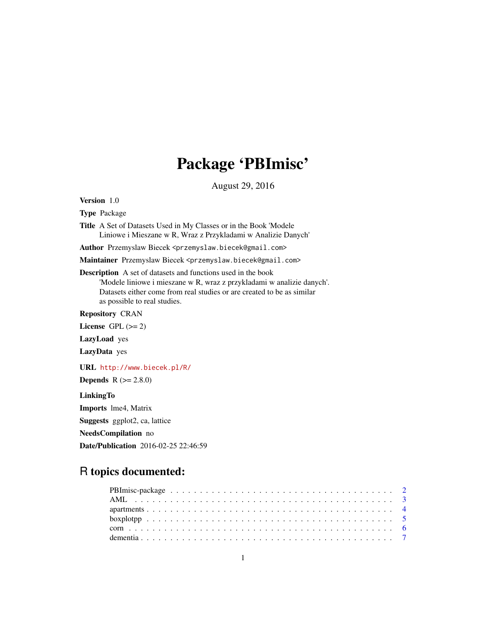# Package 'PBImisc'

August 29, 2016

Version 1.0

Type Package

Title A Set of Datasets Used in My Classes or in the Book 'Modele Liniowe i Mieszane w R, Wraz z Przykladami w Analizie Danych'

Author Przemyslaw Biecek <przemyslaw.biecek@gmail.com>

Maintainer Przemyslaw Biecek <przemyslaw.biecek@gmail.com>

Description A set of datasets and functions used in the book 'Modele liniowe i mieszane w R, wraz z przykladami w analizie danych'. Datasets either come from real studies or are created to be as similar as possible to real studies.

Repository CRAN

License GPL  $(>= 2)$ 

LazyLoad yes

LazyData yes

URL <http://www.biecek.pl/R/>

**Depends**  $R (= 2.8.0)$ 

LinkingTo

Imports lme4, Matrix

Suggests ggplot2, ca, lattice

NeedsCompilation no

Date/Publication 2016-02-25 22:46:59

# R topics documented: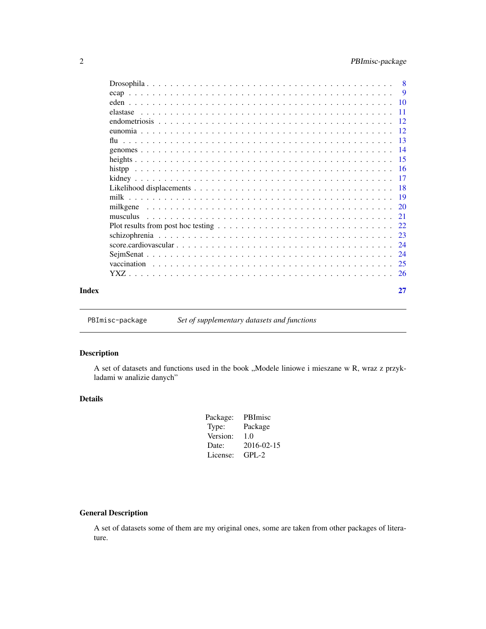# <span id="page-1-0"></span>2 PBImisc-package

|       |          | $-11$           |
|-------|----------|-----------------|
|       |          |                 |
|       |          |                 |
|       |          |                 |
|       |          |                 |
|       |          |                 |
|       |          |                 |
|       |          | $\overline{17}$ |
|       |          |                 |
|       |          |                 |
|       | milkgene | 20              |
|       |          | 21              |
|       |          |                 |
|       |          | 23              |
|       |          |                 |
|       |          |                 |
|       |          |                 |
|       |          |                 |
| Index |          | 27              |

PBImisc-package *Set of supplementary datasets and functions*

# Description

A set of datasets and functions used in the book "Modele liniowe i mieszane w R, wraz z przykladami w analizie danych"

# Details

| Package: | PBImisc    |
|----------|------------|
| Type:    | Package    |
| Version: | 1.0        |
| Date:    | 2016-02-15 |
| License: | $GPI - 2$  |
|          |            |

# General Description

A set of datasets some of them are my original ones, some are taken from other packages of literature.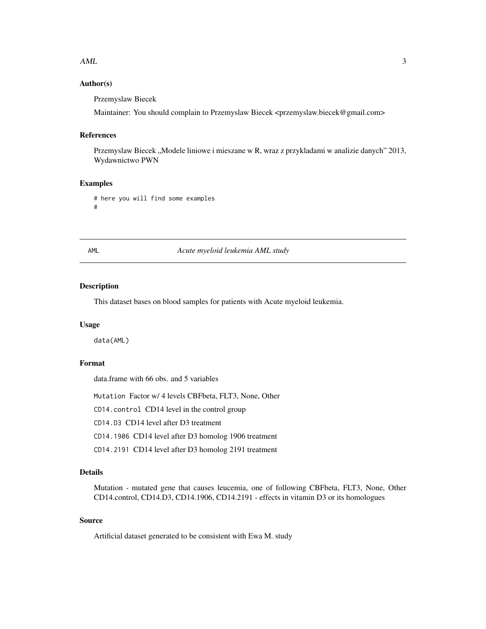#### <span id="page-2-0"></span> $\Delta M L$  3

# Author(s)

Przemyslaw Biecek

Maintainer: You should complain to Przemyslaw Biecek <przemyslaw.biecek@gmail.com>

#### References

Przemyslaw Biecek "Modele liniowe i mieszane w R, wraz z przykladami w analizie danych" 2013, Wydawnictwo PWN

# Examples

```
# here you will find some examples
#
```
AML *Acute myeloid leukemia AML study*

#### Description

This dataset bases on blood samples for patients with Acute myeloid leukemia.

#### Usage

data(AML)

# Format

data.frame with 66 obs. and 5 variables

Mutation Factor w/ 4 levels CBFbeta, FLT3, None, Other

CD14.control CD14 level in the control group

CD14.D3 CD14 level after D3 treatment

CD14.1906 CD14 level after D3 homolog 1906 treatment

CD14.2191 CD14 level after D3 homolog 2191 treatment

# Details

Mutation - mutated gene that causes leucemia, one of following CBFbeta, FLT3, None, Other CD14.control, CD14.D3, CD14.1906, CD14.2191 - effects in vitamin D3 or its homologues

# Source

Artificial dataset generated to be consistent with Ewa M. study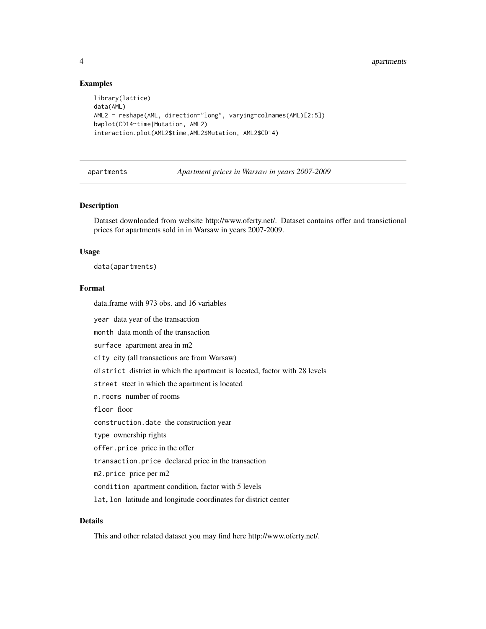#### Examples

```
library(lattice)
data(AML)
AML2 = reshape(AML, direction="long", varying=colnames(AML)[2:5])
bwplot(CD14~time|Mutation, AML2)
interaction.plot(AML2$time,AML2$Mutation, AML2$CD14)
```
apartments *Apartment prices in Warsaw in years 2007-2009*

## Description

Dataset downloaded from website http://www.oferty.net/. Dataset contains offer and transictional prices for apartments sold in in Warsaw in years 2007-2009.

#### Usage

data(apartments)

# Format

data.frame with 973 obs. and 16 variables

year data year of the transaction

month data month of the transaction

surface apartment area in m2

city city (all transactions are from Warsaw)

district district in which the apartment is located, factor with 28 levels

street steet in which the apartment is located

n.rooms number of rooms

floor floor

construction.date the construction year

type ownership rights

offer.price price in the offer

transaction.price declared price in the transaction

m2.price price per m2

condition apartment condition, factor with 5 levels

lat, lon latitude and longitude coordinates for district center

# Details

This and other related dataset you may find here http://www.oferty.net/.

<span id="page-3-0"></span>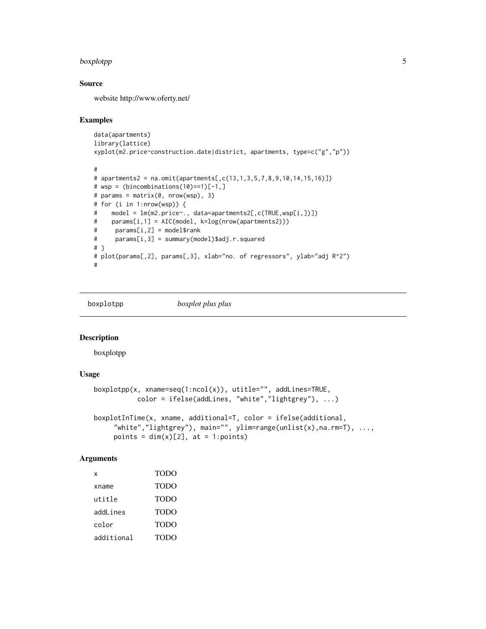#### <span id="page-4-0"></span>boxplotpp 55 to 55 to 55 to 55 to 55 to 55 to 55 to 55 to 55 to 55 to 55 to 55 to 55 to 55 to 55 to 55 to 55 to 55 to 55 to 55 to 55 to 55 to 55 to 55 to 55 to 55 to 55 to 55 to 55 to 55 to 55 to 55 to 55 to 55 to 55 to 55

# Source

website http://www.oferty.net/

#### Examples

```
data(apartments)
library(lattice)
xyplot(m2.price~construction.date|district, apartments, type=c("g","p"))
#
# apartments2 = na.omit(apartments[,c(13,1,3,5,7,8,9,10,14,15,16)])
# wsp = (bincombinations(10)=1)[-1, ]# params = matrix(0, nrow(wsp), 3)
# for (i in 1:nrow(wsp)) {
# model = lm(m2.price~., data=apartments2[,c(TRUE,wsp[i,])])
# params[i,1] = AIC(model, k=log(nrow(apartments2)))
# params[i,2] = model$rank
# params[i,3] = summary(model)$adj.r.squared
# }
# plot(params[,2], params[,3], xlab="no. of regressors", ylab="adj R^2")
#
```
boxplotpp *boxplot plus plus*

#### Description

boxplotpp

#### Usage

```
boxplotpp(x, xname=seq(1:ncol(x)), utitle="", addLines=TRUE,
          color = ifelse(addLines, "white","lightgrey"), ...)
boxplotInTime(x, xname, additional=T, color = ifelse(additional,
     "white","lightgrey"), main="", ylim=range(unlist(x),na.rm=T), ...,
     points = dim(x)[2], at = 1:points)
```
# Arguments

| x          | <b>TODO</b> |
|------------|-------------|
| xname      | TODO        |
| utitle     | TODO        |
| addLines   | <b>TODO</b> |
| color      | <b>TODO</b> |
| additional | <b>TODO</b> |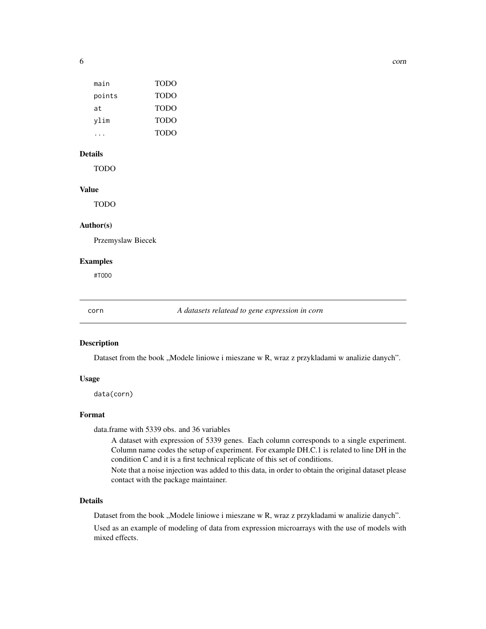<span id="page-5-0"></span>

| main   | TODO        |
|--------|-------------|
| points | <b>TODO</b> |
| at.    | <b>TODO</b> |
| vlim   | <b>TODO</b> |
|        | <b>TODO</b> |
|        |             |

# Details

TODO

# Value

TODO

#### Author(s)

Przemyslaw Biecek

# Examples

#TODO

corn *A datasets relatead to gene expression in corn*

#### Description

Dataset from the book "Modele liniowe i mieszane w R, wraz z przykladami w analizie danych".

#### Usage

data(corn)

# Format

data.frame with 5339 obs. and 36 variables

A dataset with expression of 5339 genes. Each column corresponds to a single experiment. Column name codes the setup of experiment. For example DH.C.1 is related to line DH in the condition C and it is a first technical replicate of this set of conditions.

Note that a noise injection was added to this data, in order to obtain the original dataset please contact with the package maintainer.

#### Details

Dataset from the book "Modele liniowe i mieszane w R, wraz z przykladami w analizie danych".

Used as an example of modeling of data from expression microarrays with the use of models with mixed effects.

6 community of the community of the community of the community of the community of the community of the community of the community of the community of the community of the community of the community of the community of the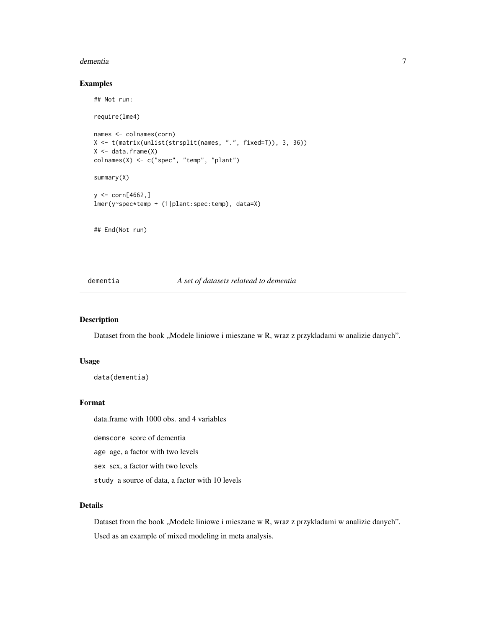#### <span id="page-6-0"></span>dementia and a contract of the contract of the contract of the contract of the contract of the contract of the contract of the contract of the contract of the contract of the contract of the contract of the contract of the

# Examples

## Not run:

```
require(lme4)
names <- colnames(corn)
X <- t(matrix(unlist(strsplit(names, ".", fixed=T)), 3, 36))
X \leftarrow data-frame(X)colnames(X) <- c("spec", "temp", "plant")
summary(X)
y \le -\text{corn}[4662, ]lmer(y~spec*temp + (1|plant:spec:temp), data=X)
## End(Not run)
```
#### dementia *A set of datasets relatead to dementia*

#### Description

Dataset from the book "Modele liniowe i mieszane w R, wraz z przykladami w analizie danych".

#### Usage

```
data(dementia)
```
#### Format

data.frame with 1000 obs. and 4 variables

demscore score of dementia

age age, a factor with two levels

sex sex, a factor with two levels

study a source of data, a factor with 10 levels

#### Details

Dataset from the book "Modele liniowe i mieszane w R, wraz z przykladami w analizie danych". Used as an example of mixed modeling in meta analysis.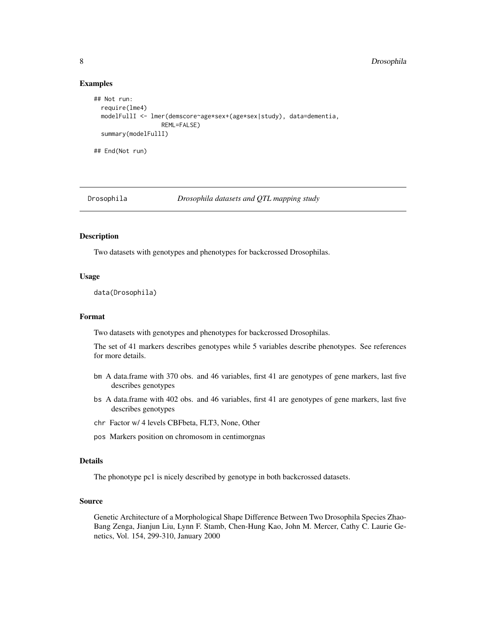#### <span id="page-7-0"></span>Examples

```
## Not run:
 require(lme4)
 modelFullI <- lmer(demscore~age*sex+(age*sex|study), data=dementia,
                   REML=FALSE)
 summary(modelFullI)
## End(Not run)
```
Drosophila *Drosophila datasets and QTL mapping study*

#### **Description**

Two datasets with genotypes and phenotypes for backcrossed Drosophilas.

#### Usage

```
data(Drosophila)
```
#### Format

Two datasets with genotypes and phenotypes for backcrossed Drosophilas.

The set of 41 markers describes genotypes while 5 variables describe phenotypes. See references for more details.

- bm A data.frame with 370 obs. and 46 variables, first 41 are genotypes of gene markers, last five describes genotypes
- bs A data.frame with 402 obs. and 46 variables, first 41 are genotypes of gene markers, last five describes genotypes
- chr Factor w/ 4 levels CBFbeta, FLT3, None, Other
- pos Markers position on chromosom in centimorgnas

#### Details

The phonotype pc1 is nicely described by genotype in both backcrossed datasets.

#### Source

Genetic Architecture of a Morphological Shape Difference Between Two Drosophila Species Zhao-Bang Zenga, Jianjun Liu, Lynn F. Stamb, Chen-Hung Kao, John M. Mercer, Cathy C. Laurie Genetics, Vol. 154, 299-310, January 2000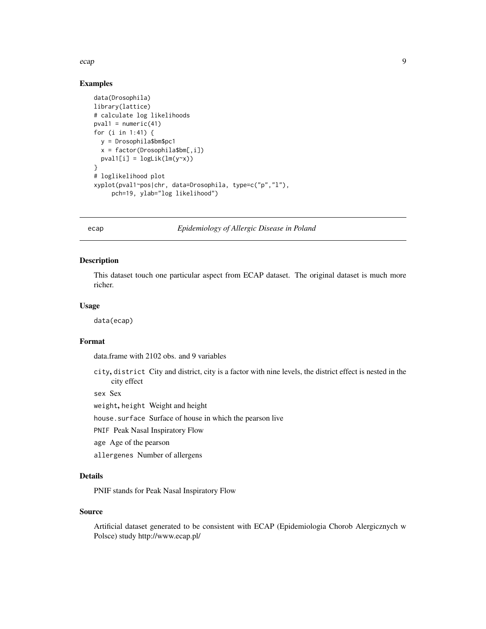<span id="page-8-0"></span>ecap 9 and 3 and 3 and 3 and 3 and 3 and 3 and 3 and 3 and 3 and 3 and 3 and 3 and 3 and 3 and 3 and 3 and 3 and 3 and 3 and 3 and 3 and 3 and 3 and 3 and 3 and 3 and 3 and 3 and 3 and 3 and 3 and 3 and 3 and 3 and 3 and 3

# Examples

```
data(Drosophila)
library(lattice)
# calculate log likelihoods
pval1 = numeric(41)for (i in 1:41) {
  y = Drosophila$bm$pc1
  x = factor(Drosophila$bm[,i])
  pval1[i] = logList(lm(y \sim x))}
# loglikelihood plot
xyplot(pval1~pos|chr, data=Drosophila, type=c("p","l"),
     pch=19, ylab="log likelihood")
```
#### ecap *Epidemiology of Allergic Disease in Poland*

#### Description

This dataset touch one particular aspect from ECAP dataset. The original dataset is much more richer.

#### Usage

data(ecap)

# Format

data.frame with 2102 obs. and 9 variables

city, district City and district, city is a factor with nine levels, the district effect is nested in the city effect

sex Sex

weight, height Weight and height

house.surface Surface of house in which the pearson live

PNIF Peak Nasal Inspiratory Flow

age Age of the pearson

allergenes Number of allergens

# Details

PNIF stands for Peak Nasal Inspiratory Flow

#### Source

Artificial dataset generated to be consistent with ECAP (Epidemiologia Chorob Alergicznych w Polsce) study http://www.ecap.pl/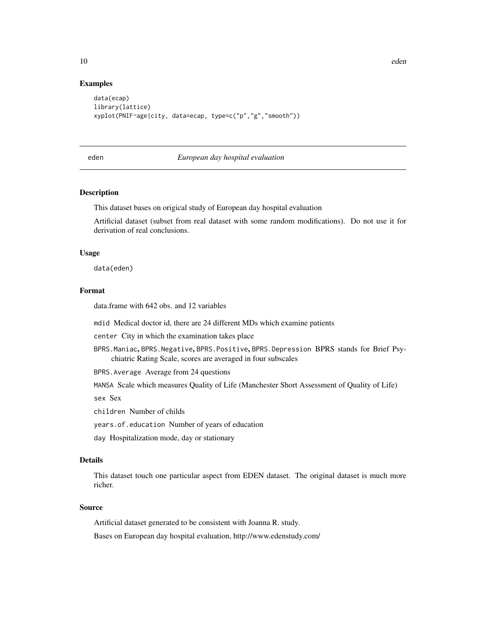#### Examples

```
data(ecap)
library(lattice)
xyplot(PNIF~age|city, data=ecap, type=c("p","g","smooth"))
```
#### eden *European day hospital evaluation*

#### Description

This dataset bases on origical study of European day hospital evaluation

Artificial dataset (subset from real dataset with some random modifications). Do not use it for derivation of real conclusions.

#### Usage

data(eden)

# Format

data.frame with 642 obs. and 12 variables

mdid Medical doctor id, there are 24 different MDs which examine patients

center City in which the examination takes place

BPRS.Maniac, BPRS.Negative, BPRS.Positive, BPRS.Depression BPRS stands for Brief Psychiatric Rating Scale, scores are averaged in four subscales

BPRS.Average Average from 24 questions

MANSA Scale which measures Quality of Life (Manchester Short Assessment of Quality of Life)

sex Sex

children Number of childs

years.of.education Number of years of education

day Hospitalization mode, day or stationary

# Details

This dataset touch one particular aspect from EDEN dataset. The original dataset is much more richer.

#### Source

Artificial dataset generated to be consistent with Joanna R. study.

Bases on European day hospital evaluation, http://www.edenstudy.com/

<span id="page-9-0"></span>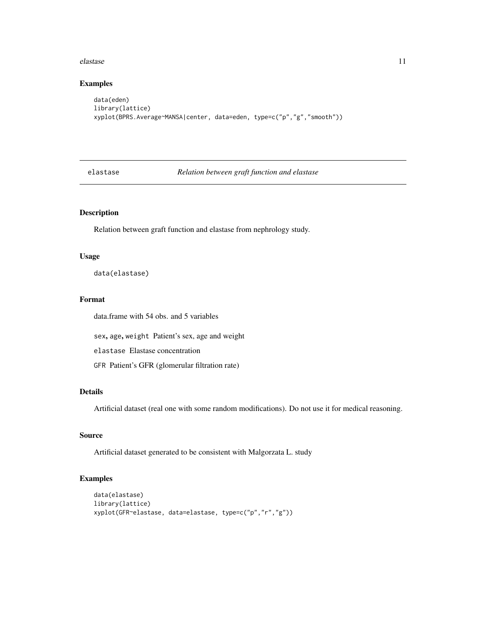#### <span id="page-10-0"></span>elastase and the set of the set of the set of the set of the set of the set of the set of the set of the set of the set of the set of the set of the set of the set of the set of the set of the set of the set of the set of

# Examples

```
data(eden)
library(lattice)
xyplot(BPRS.Average~MANSA|center, data=eden, type=c("p","g","smooth"))
```
elastase *Relation between graft function and elastase*

# Description

Relation between graft function and elastase from nephrology study.

#### Usage

data(elastase)

# Format

data.frame with 54 obs. and 5 variables

sex, age, weight Patient's sex, age and weight

elastase Elastase concentration

GFR Patient's GFR (glomerular filtration rate)

#### Details

Artificial dataset (real one with some random modifications). Do not use it for medical reasoning.

#### Source

Artificial dataset generated to be consistent with Malgorzata L. study

```
data(elastase)
library(lattice)
xyplot(GFR~elastase, data=elastase, type=c("p","r","g"))
```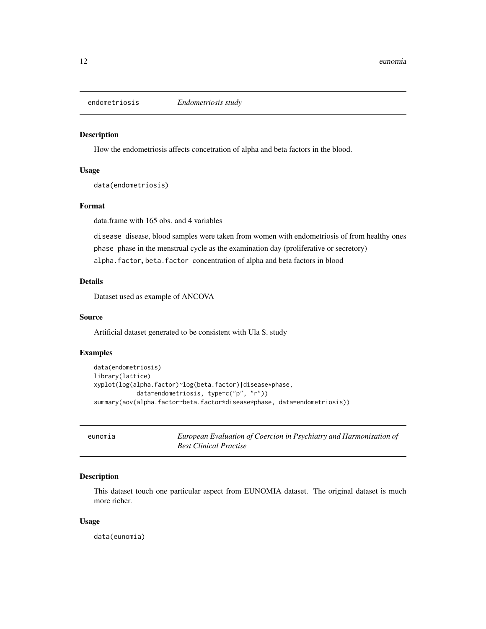<span id="page-11-0"></span>

#### Description

How the endometriosis affects concetration of alpha and beta factors in the blood.

#### Usage

data(endometriosis)

# Format

data.frame with 165 obs. and 4 variables

disease disease, blood samples were taken from women with endometriosis of from healthy ones phase phase in the menstrual cycle as the examination day (proliferative or secretory) alpha.factor, beta.factor concentration of alpha and beta factors in blood

# Details

Dataset used as example of ANCOVA

#### Source

Artificial dataset generated to be consistent with Ula S. study

# Examples

```
data(endometriosis)
library(lattice)
xyplot(log(alpha.factor)~log(beta.factor)|disease*phase,
            data=endometriosis, type=c("p", "r"))
summary(aov(alpha.factor~beta.factor*disease*phase, data=endometriosis))
```
eunomia *European Evaluation of Coercion in Psychiatry and Harmonisation of Best Clinical Practise*

# Description

This dataset touch one particular aspect from EUNOMIA dataset. The original dataset is much more richer.

#### Usage

data(eunomia)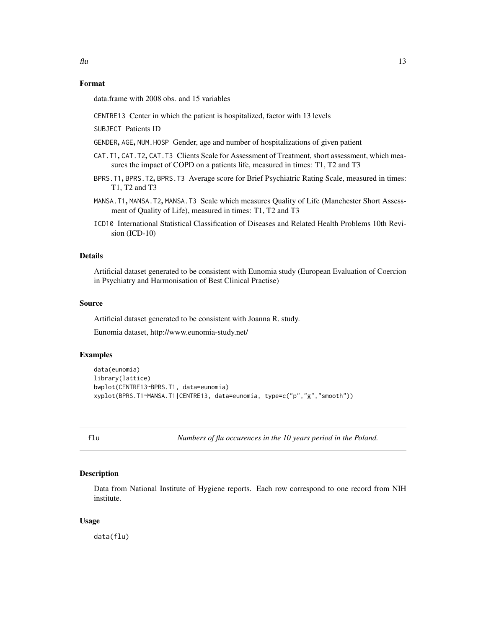# <span id="page-12-0"></span>Format

data.frame with 2008 obs. and 15 variables

- CENTRE13 Center in which the patient is hospitalized, factor with 13 levels
- SUBJECT Patients ID
- GENDER, AGE, NUM.HOSP Gender, age and number of hospitalizations of given patient
- CAT.T1, CAT.T2, CAT.T3 Clients Scale for Assessment of Treatment, short assessment, which measures the impact of COPD on a patients life, measured in times: T1, T2 and T3
- BPRS.T1, BPRS.T2, BPRS.T3 Average score for Brief Psychiatric Rating Scale, measured in times: T1, T2 and T3
- MANSA.T1, MANSA.T2, MANSA.T3 Scale which measures Quality of Life (Manchester Short Assessment of Quality of Life), measured in times: T1, T2 and T3
- ICD10 International Statistical Classification of Diseases and Related Health Problems 10th Revision (ICD-10)

#### Details

Artificial dataset generated to be consistent with Eunomia study (European Evaluation of Coercion in Psychiatry and Harmonisation of Best Clinical Practise)

#### Source

Artificial dataset generated to be consistent with Joanna R. study.

Eunomia dataset, http://www.eunomia-study.net/

#### Examples

```
data(eunomia)
library(lattice)
bwplot(CENTRE13~BPRS.T1, data=eunomia)
xyplot(BPRS.T1~MANSA.T1|CENTRE13, data=eunomia, type=c("p","g","smooth"))
```
flu *Numbers of flu occurences in the 10 years period in the Poland.*

#### Description

Data from National Institute of Hygiene reports. Each row correspond to one record from NIH institute.

#### Usage

data(flu)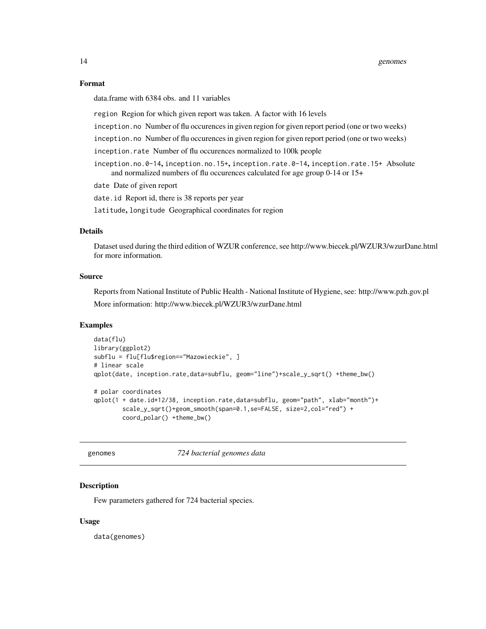#### Format

data.frame with 6384 obs. and 11 variables

region Region for which given report was taken. A factor with 16 levels

inception.no Number of flu occurences in given region for given report period (one or two weeks)

inception.no Number of flu occurences in given region for given report period (one or two weeks)

inception.rate Number of flu occurences normalized to 100k people

inception.no.0-14, inception.no.15+, inception.rate.0-14, inception.rate.15+ Absolute and normalized numbers of flu occurences calculated for age group 0-14 or 15+

date Date of given report

date.id Report id, there is 38 reports per year

latitude, longitude Geographical coordinates for region

# Details

Dataset used during the third edition of WZUR conference, see http://www.biecek.pl/WZUR3/wzurDane.html for more information.

#### Source

Reports from National Institute of Public Health - National Institute of Hygiene, see: http://www.pzh.gov.pl More information: http://www.biecek.pl/WZUR3/wzurDane.html

#### Examples

```
data(flu)
library(ggplot2)
subflu = flu[flu$region=="Mazowieckie", ]
# linear scale
qplot(date, inception.rate,data=subflu, geom="line")+scale_y_sqrt() +theme_bw()
# polar coordinates
qplot(1 + date.id*12/38, inception.rate,data=subflu, geom="path", xlab="month")+
        scale_y_sqrt()+geom_smooth(span=0.1,se=FALSE, size=2,col="red") +
        coord_polar() +theme_bw()
```
genomes *724 bacterial genomes data*

# **Description**

Few parameters gathered for 724 bacterial species.

#### Usage

data(genomes)

<span id="page-13-0"></span>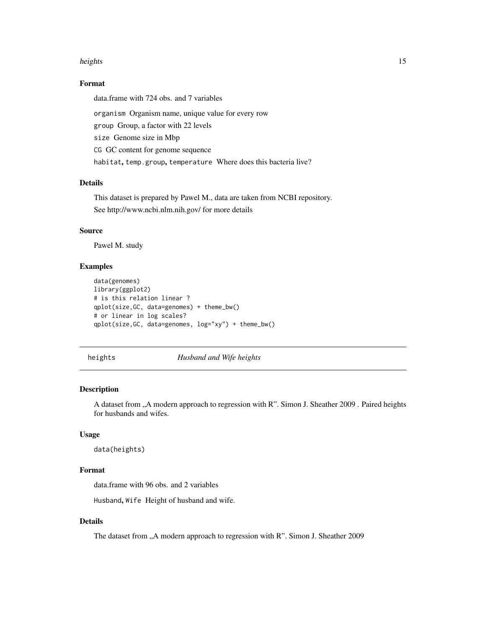#### <span id="page-14-0"></span>heights and the set of the set of the set of the set of the set of the set of the set of the set of the set of the set of the set of the set of the set of the set of the set of the set of the set of the set of the set of t

# Format

data.frame with 724 obs. and 7 variables

organism Organism name, unique value for every row

group Group, a factor with 22 levels

size Genome size in Mbp

CG GC content for genome sequence

habitat, temp.group, temperature Where does this bacteria live?

# Details

This dataset is prepared by Pawel M., data are taken from NCBI repository. See http://www.ncbi.nlm.nih.gov/ for more details

# Source

Pawel M. study

# Examples

```
data(genomes)
library(ggplot2)
# is this relation linear ?
qplot(size,GC, data=genomes) + theme_bw()
# or linear in log scales?
qplot(size,GC, data=genomes, log="xy") + theme_bw()
```
heights *Husband and Wife heights*

#### Description

A dataset from "A modern approach to regression with R". Simon J. Sheather 2009 . Paired heights for husbands and wifes.

#### Usage

data(heights)

# Format

data.frame with 96 obs. and 2 variables

Husband, Wife Height of husband and wife.

# Details

The dataset from "A modern approach to regression with R". Simon J. Sheather 2009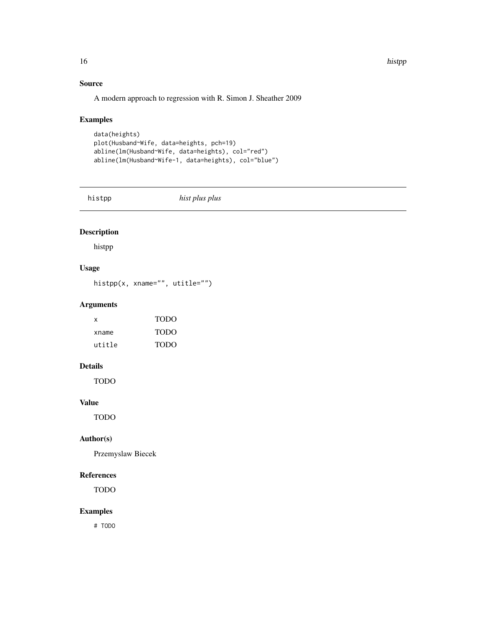<span id="page-15-0"></span>16 history and the contract of the contract of the contract of the contract of the contract of the contract of the contract of the contract of the contract of the contract of the contract of the contract of the contract of

# Source

A modern approach to regression with R. Simon J. Sheather 2009

# Examples

```
data(heights)
plot(Husband~Wife, data=heights, pch=19)
abline(lm(Husband~Wife, data=heights), col="red")
abline(lm(Husband~Wife-1, data=heights), col="blue")
```
histpp *hist plus plus*

# Description

histpp

# Usage

histpp(x, xname="", utitle="")

# Arguments

| x      | <b>TODO</b> |
|--------|-------------|
| xname  | <b>TODO</b> |
| utitle | <b>TODO</b> |

# Details

TODO

# Value

TODO

# Author(s)

Przemyslaw Biecek

# References

TODO

#### Examples

# TODO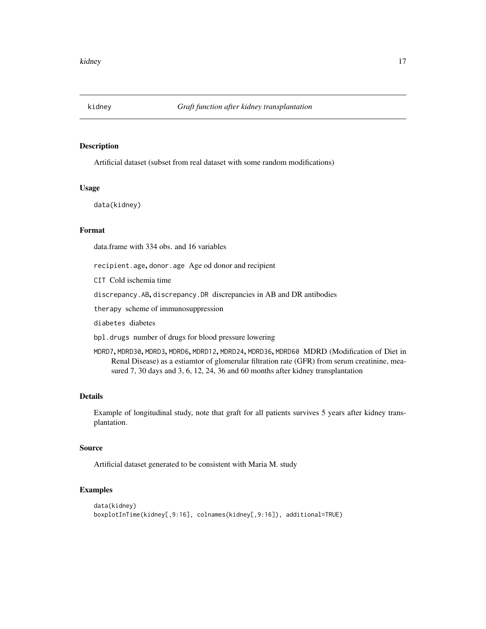<span id="page-16-0"></span>

#### Description

Artificial dataset (subset from real dataset with some random modifications)

#### Usage

data(kidney)

#### Format

data.frame with 334 obs. and 16 variables

recipient.age, donor.age Age od donor and recipient

CIT Cold ischemia time

discrepancy.AB, discrepancy.DR discrepancies in AB and DR antibodies

therapy scheme of immunosuppression

diabetes diabetes

bpl.drugs number of drugs for blood pressure lowering

MDRD7, MDRD30, MDRD3, MDRD6, MDRD12, MDRD24, MDRD36, MDRD60 MDRD (Modification of Diet in Renal Disease) as a estiamtor of glomerular filtration rate (GFR) from serum creatinine, measured 7, 30 days and 3, 6, 12, 24, 36 and 60 months after kidney transplantation

## Details

Example of longitudinal study, note that graft for all patients survives 5 years after kidney transplantation.

#### Source

Artificial dataset generated to be consistent with Maria M. study

```
data(kidney)
boxplotInTime(kidney[,9:16], colnames(kidney[,9:16]), additional=TRUE)
```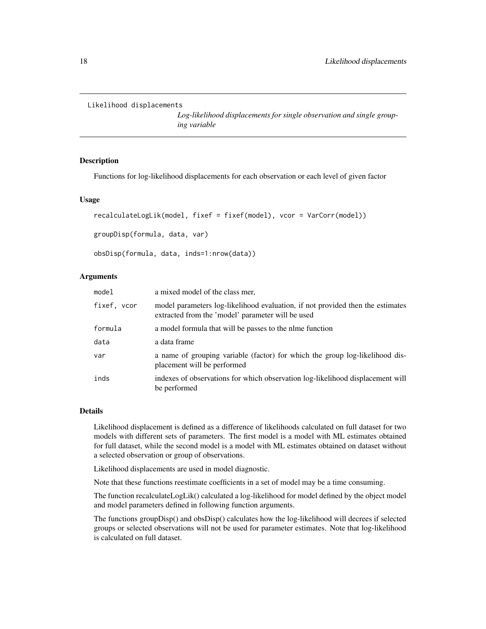```
Likelihood displacements
```
*Log-likelihood displacements for single observation and single grouping variable*

#### Description

Functions for log-likelihood displacements for each observation or each level of given factor

#### Usage

```
recalculateLogLik(model, fixef = fixef(model), vcor = VarCorr(model))
groupDisp(formula, data, var)
obsDisp(formula, data, inds=1:nrow(data))
```
# Arguments

| model       | a mixed model of the class mer,                                                                                                     |
|-------------|-------------------------------------------------------------------------------------------------------------------------------------|
| fixef, vcor | model parameters log-likelihood evaluation, if not provided then the estimates<br>extracted from the 'model' parameter will be used |
| formula     | a model formula that will be passes to the nime function                                                                            |
| data        | a data frame                                                                                                                        |
| var         | a name of grouping variable (factor) for which the group log-likelihood dis-<br>placement will be performed                         |
| inds        | indexes of observations for which observation log-likelihood displacement will<br>be performed                                      |

#### Details

Likelihood displacement is defined as a difference of likelihoods calculated on full dataset for two models with different sets of parameters. The first model is a model with ML estimates obtained for full dataset, while the second model is a model with ML estimates obtained on dataset without a selected observation or group of observations.

Likelihood displacements are used in model diagnostic.

Note that these functions reestimate coefficients in a set of model may be a time consuming.

The function recalculateLogLik() calculated a log-likelihood for model defined by the object model and model parameters defined in following function arguments.

The functions groupDisp() and obsDisp() calculates how the log-likelihood will decrees if selected groups or selected observations will not be used for parameter estimates. Note that log-likelihood is calculated on full dataset.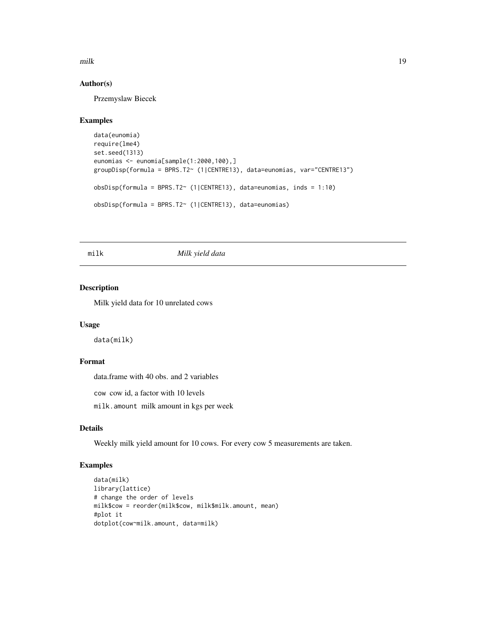<span id="page-18-0"></span>milk 19

#### Author(s)

Przemyslaw Biecek

#### Examples

```
data(eunomia)
require(lme4)
set.seed(1313)
eunomias <- eunomia[sample(1:2000,100),]
groupDisp(formula = BPRS.T2~ (1|CENTRE13), data=eunomias, var="CENTRE13")
obsDisp(formula = BPRS.T2~ (1|CENTRE13), data=eunomias, inds = 1:10)
obsDisp(formula = BPRS.T2~ (1|CENTRE13), data=eunomias)
```
milk *Milk yield data*

# Description

Milk yield data for 10 unrelated cows

#### Usage

data(milk)

# Format

data.frame with 40 obs. and 2 variables

cow cow id, a factor with 10 levels

milk.amount milk amount in kgs per week

# Details

Weekly milk yield amount for 10 cows. For every cow 5 measurements are taken.

```
data(milk)
library(lattice)
# change the order of levels
milk$cow = reorder(milk$cow, milk$milk.amount, mean)
#plot it
dotplot(cow~milk.amount, data=milk)
```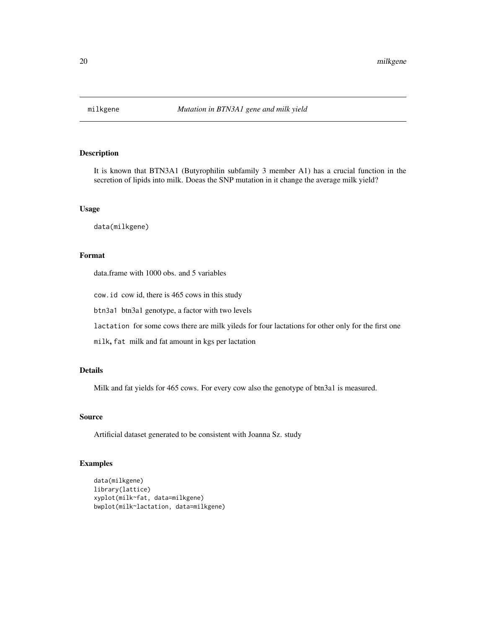<span id="page-19-0"></span>

# Description

It is known that BTN3A1 (Butyrophilin subfamily 3 member A1) has a crucial function in the secretion of lipids into milk. Doeas the SNP mutation in it change the average milk yield?

# Usage

data(milkgene)

# Format

data.frame with 1000 obs. and 5 variables

cow.id cow id, there is 465 cows in this study

btn3a1 btn3a1 genotype, a factor with two levels

lactation for some cows there are milk yileds for four lactations for other only for the first one

milk, fat milk and fat amount in kgs per lactation

# Details

Milk and fat yields for 465 cows. For every cow also the genotype of btn3a1 is measured.

#### Source

Artificial dataset generated to be consistent with Joanna Sz. study

```
data(milkgene)
library(lattice)
xyplot(milk~fat, data=milkgene)
bwplot(milk~lactation, data=milkgene)
```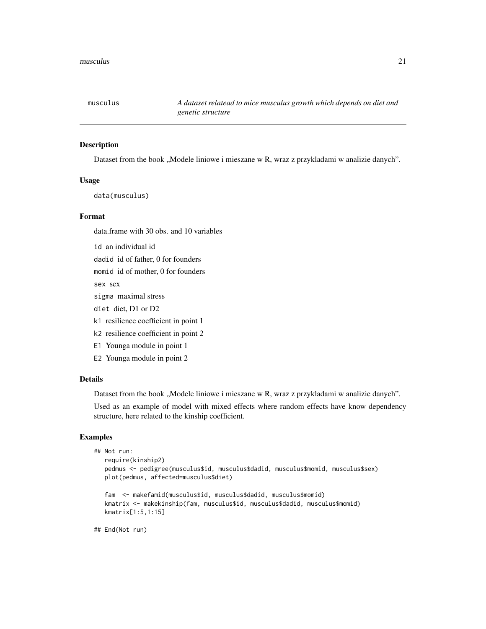<span id="page-20-0"></span>

# Description

Dataset from the book "Modele liniowe i mieszane w R, wraz z przykladami w analizie danych".

#### Usage

data(musculus)

#### Format

data.frame with 30 obs. and 10 variables

id an individual id

dadid id of father, 0 for founders

momid id of mother, 0 for founders

sex sex

sigma maximal stress

- diet diet, D1 or D2
- k1 resilience coefficient in point 1
- k2 resilience coefficient in point 2
- E1 Younga module in point 1
- E2 Younga module in point 2

#### Details

Dataset from the book "Modele liniowe i mieszane w R, wraz z przykladami w analizie danych".

Used as an example of model with mixed effects where random effects have know dependency structure, here related to the kinship coefficient.

# Examples

```
## Not run:
  require(kinship2)
  pedmus <- pedigree(musculus$id, musculus$dadid, musculus$momid, musculus$sex)
  plot(pedmus, affected=musculus$diet)
```

```
fam <- makefamid(musculus$id, musculus$dadid, musculus$momid)
kmatrix <- makekinship(fam, musculus$id, musculus$dadid, musculus$momid)
kmatrix[1:5,1:15]
```
## End(Not run)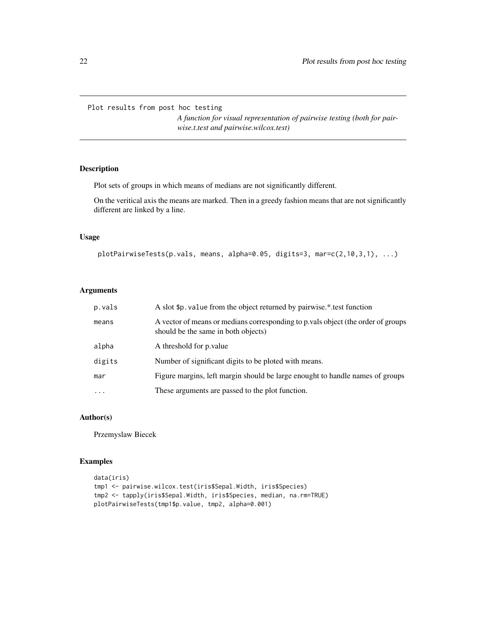<span id="page-21-0"></span>Plot results from post hoc testing

*A function for visual representation of pairwise testing (both for pairwise.t.test and pairwise.wilcox.test)*

# Description

Plot sets of groups in which means of medians are not significantly different.

On the veritical axis the means are marked. Then in a greedy fashion means that are not significantly different are linked by a line.

# Usage

```
plotPairwiseTests(p.vals, means, alpha=0.05, digits=3, mar=c(2,10,3,1), ...)
```
# Arguments

| p.vals   | A slot \$p. value from the object returned by pairwise.*.test function                                                  |
|----------|-------------------------------------------------------------------------------------------------------------------------|
| means    | A vector of means or medians corresponding to p vals object (the order of groups<br>should be the same in both objects) |
| alpha    | A threshold for p. value                                                                                                |
| digits   | Number of significant digits to be ploted with means.                                                                   |
| mar      | Figure margins, left margin should be large enought to handle names of groups                                           |
| $\cdots$ | These arguments are passed to the plot function.                                                                        |

# Author(s)

Przemyslaw Biecek

```
data(iris)
tmp1 <- pairwise.wilcox.test(iris$Sepal.Width, iris$Species)
tmp2 <- tapply(iris$Sepal.Width, iris$Species, median, na.rm=TRUE)
plotPairwiseTests(tmp1$p.value, tmp2, alpha=0.001)
```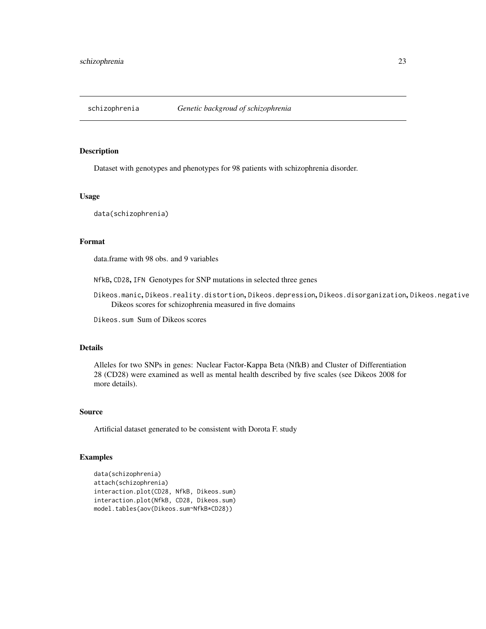<span id="page-22-0"></span>

#### Description

Dataset with genotypes and phenotypes for 98 patients with schizophrenia disorder.

#### Usage

data(schizophrenia)

# Format

data.frame with 98 obs. and 9 variables

NfkB, CD28, IFN Genotypes for SNP mutations in selected three genes

Dikeos.manic, Dikeos.reality.distortion, Dikeos.depression, Dikeos.disorganization, Dikeos.negative Dikeos scores for schizophrenia measured in five domains

Dikeos.sum Sum of Dikeos scores

#### Details

Alleles for two SNPs in genes: Nuclear Factor-Kappa Beta (NfkB) and Cluster of Differentiation 28 (CD28) were examined as well as mental health described by five scales (see Dikeos 2008 for more details).

#### Source

Artificial dataset generated to be consistent with Dorota F. study

```
data(schizophrenia)
attach(schizophrenia)
interaction.plot(CD28, NfkB, Dikeos.sum)
interaction.plot(NfkB, CD28, Dikeos.sum)
model.tables(aov(Dikeos.sum~NfkB*CD28))
```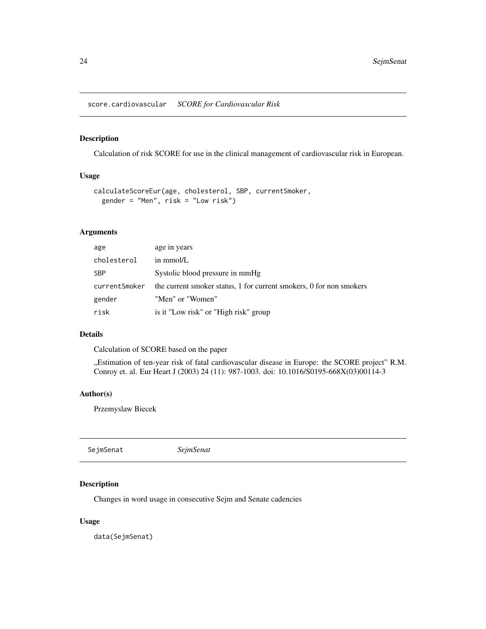<span id="page-23-0"></span>score.cardiovascular *SCORE for Cardiovascular Risk*

#### Description

Calculation of risk SCORE for use in the clinical management of cardiovascular risk in European.

# Usage

```
calculateScoreEur(age, cholesterol, SBP, currentSmoker,
  gender = "Men", risk = "Low risk")
```
# Arguments

| age           | age in years                                                        |
|---------------|---------------------------------------------------------------------|
| cholesterol   | in mmol/L                                                           |
| SBP           | Systolic blood pressure in mmHg                                     |
| currentSmoker | the current smoker status, 1 for current smokers, 0 for non smokers |
| gender        | "Men" or "Women"                                                    |
| risk          | is it "Low risk" or "High risk" group                               |

# Details

Calculation of SCORE based on the paper

"Estimation of ten-year risk of fatal cardiovascular disease in Europe: the SCORE project" R.M. Conroy et. al. Eur Heart J (2003) 24 (11): 987-1003. doi: 10.1016/S0195-668X(03)00114-3

# Author(s)

Przemyslaw Biecek

SejmSenat *SejmSenat*

# Description

Changes in word usage in consecutive Sejm and Senate cadencies

#### Usage

data(SejmSenat)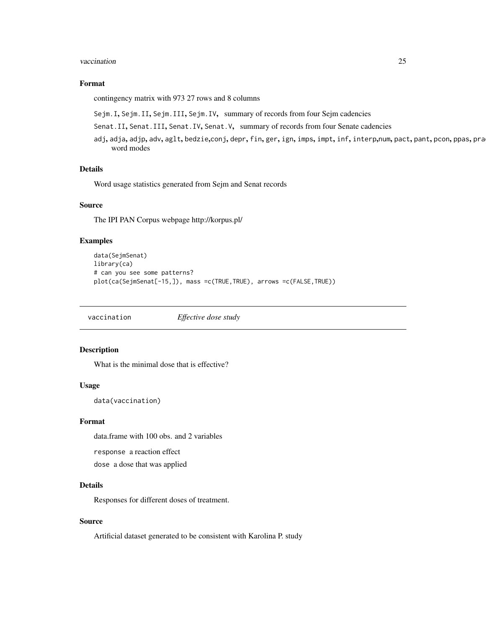#### <span id="page-24-0"></span>vaccination 25

# Format

contingency matrix with 973 27 rows and 8 columns

Sejm.I, Sejm.II, Sejm.III, Sejm.IV, summary of records from four Sejm cadencies

Senat.II, Senat.III, Senat.IV, Senat.V, summary of records from four Senate cadencies

adj, adja, adjp, adv, aglt, bedzie,conj, depr, fin, ger, ign, imps, impt, inf, interp,num, pact, pant, pcon, ppas, pra word modes

# Details

Word usage statistics generated from Sejm and Senat records

#### Source

The IPI PAN Corpus webpage http://korpus.pl/

# Examples

```
data(SejmSenat)
library(ca)
# can you see some patterns?
plot(ca(SejmSenat[-15,]), mass =c(TRUE,TRUE), arrows =c(FALSE,TRUE))
```
vaccination *Effective dose study*

# Description

What is the minimal dose that is effective?

#### Usage

data(vaccination)

#### Format

data.frame with 100 obs. and 2 variables

response a reaction effect

dose a dose that was applied

## Details

Responses for different doses of treatment.

#### Source

Artificial dataset generated to be consistent with Karolina P. study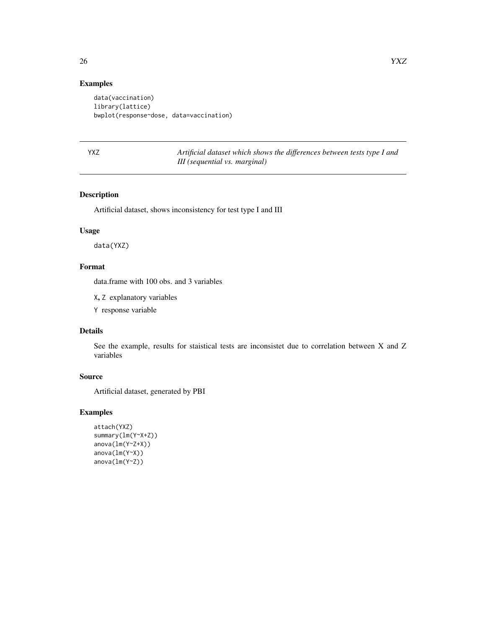# Examples

```
data(vaccination)
library(lattice)
bwplot(response~dose, data=vaccination)
```
YXZ *Artificial dataset which shows the differences between tests type I and III (sequential vs. marginal)*

# Description

Artificial dataset, shows inconsistency for test type I and III

# Usage

data(YXZ)

# Format

data.frame with 100 obs. and 3 variables

X, Z explanatory variables

Y response variable

#### Details

See the example, results for staistical tests are inconsistet due to correlation between X and Z variables

# Source

Artificial dataset, generated by PBI

```
attach(YXZ)
summary(lm(Y~X+Z))
anova(lm(Y~Z+X))
anova(lm(Y~X))
anova(lm(Y~Z))
```
<span id="page-25-0"></span>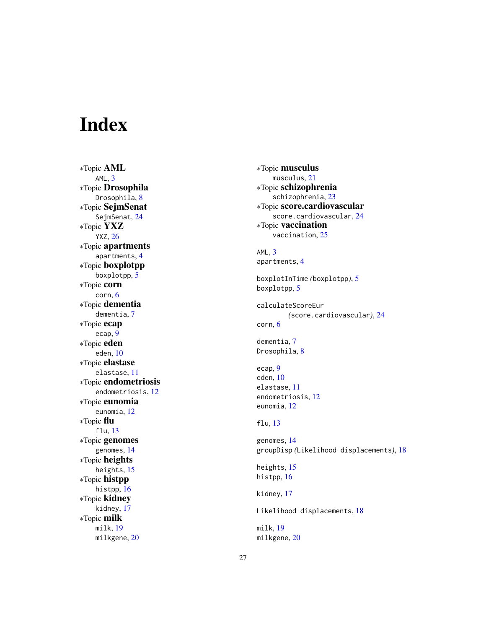# <span id="page-26-0"></span>Index

∗Topic AML  $AML, 3$  $AML, 3$ ∗Topic Drosophila Drosophila, [8](#page-7-0) ∗Topic SejmSenat SejmSenat , [24](#page-23-0) ∗Topic YXZ YXZ , [26](#page-25-0) ∗Topic apartments apartments , [4](#page-3-0) ∗Topic boxplotpp boxplotpp , [5](#page-4-0) ∗Topic corn corn , [6](#page-5-0) ∗Topic dementia dementia, [7](#page-6-0) ∗Topic ecap ecap , [9](#page-8-0) ∗Topic eden eden , [10](#page-9-0) ∗Topic elastase elastase , [11](#page-10-0) ∗Topic endometriosis endometriosis , [12](#page-11-0) ∗Topic eunomia eunomia , [12](#page-11-0) ∗Topic flu flu , [13](#page-12-0) ∗Topic genomes genomes , [14](#page-13-0) ∗Topic heights heights, [15](#page-14-0) ∗Topic histpp histpp, [16](#page-15-0) ∗Topic kidney kidney , [17](#page-16-0) ∗Topic milk milk , [19](#page-18-0) milkgene, [20](#page-19-0)

∗Topic musculus musculus , [21](#page-20-0) ∗Topic schizophrenia schizophrenia , [23](#page-22-0) ∗Topic score.cardiovascular score.cardiovascular, [24](#page-23-0) ∗Topic vaccination vaccination, [25](#page-24-0) AML, [3](#page-2-0) apartments , [4](#page-3-0) boxplotInTime *(*boxplotpp *)* , [5](#page-4-0) boxplotpp, [5](#page-4-0) calculateScoreEur *(*score.cardiovascular *)* , [24](#page-23-0) corn , [6](#page-5-0) dementia , [7](#page-6-0) Drosophila, <mark>[8](#page-7-0)</mark> ecap , [9](#page-8-0) eden , [10](#page-9-0) elastase , [11](#page-10-0) endometriosis , [12](#page-11-0) eunomia , [12](#page-11-0) flu , [13](#page-12-0) genomes , [14](#page-13-0) groupDisp *(*Likelihood displacements *)* , [18](#page-17-0) heights, [15](#page-14-0) histpp, [16](#page-15-0) kidney , [17](#page-16-0) Likelihood displacements, [18](#page-17-0) milk , [19](#page-18-0) milkgene, $20\,$  $20\,$